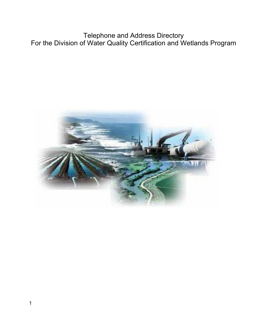Telephone and Address Directory For the Division of Water Quality Certification and Wetlands Program

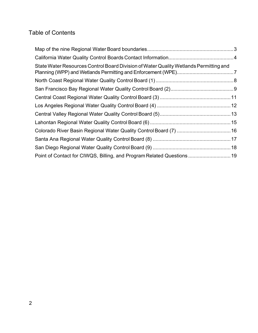## Table of Contents

| State Water Resources Control Board Division of Water Quality Wetlands Permitting and |  |
|---------------------------------------------------------------------------------------|--|
|                                                                                       |  |
|                                                                                       |  |
|                                                                                       |  |
|                                                                                       |  |
|                                                                                       |  |
|                                                                                       |  |
|                                                                                       |  |
|                                                                                       |  |
|                                                                                       |  |
| Point of Contact for CIWQS, Billing, and Program Related Questions 19                 |  |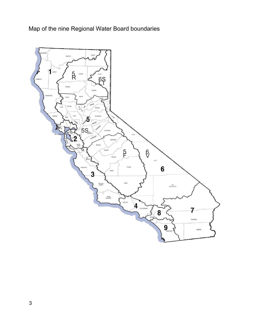Map of the nine Regional Water Board boundaries

<span id="page-2-0"></span>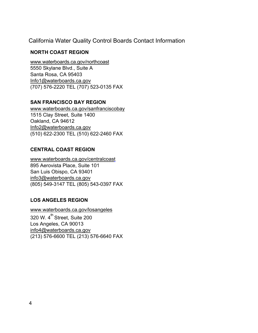California Water Quality Control Boards Contact Information

### <span id="page-3-0"></span>**NORTH COAST REGION**

[www.waterboards.ca.gov/northcoast](http://www.waterboards.ca.gov/northcoast) 5550 Skylane Blvd., Suite A Santa Rosa, CA 95403 [Info1@waterboards.ca.gov](mailto:Info1@waterboards.ca.gov) (707) 576-2220 TEL (707) 523-0135 FAX

### **SAN FRANCISCO BAY REGION**

[www.waterboards.ca.gov/sanfranciscobay](http://www.waterboards.ca.gov/sanfranciscobay) 1515 Clay Street, Suite 1400 Oakland, CA 94612 [Info2@waterboards.ca.gov](mailto:Info2@waterboards.ca.gov) (510) 622-2300 TEL (510) 622-2460 FAX

### **CENTRAL COAST REGION**

[www.waterboards.ca.gov/centralcoast](http://www.waterboards.ca.gov/centralcoast) 895 Aerovista Place, Suite 101 San Luis Obispo, CA 93401 [info3@waterboards.ca.gov](mailto:info3@waterboards.ca.gov) (805) 549-3147 TEL (805) 543-0397 FAX

## **LOS ANGELES REGION**

[www.waterboards.ca.gov/losangeles](http://www.waterboards.ca.gov/losangeles)  $\overline{320}$  W. 4<sup>th</sup> Street, Suite 200 Los Angeles, CA 90013 [info4@waterboards.ca.gov](mailto:info4@waterboards.ca.gov) (213) 576-6600 TEL (213) 576-6640 FAX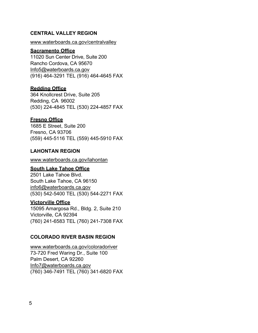#### **CENTRAL VALLEY REGION**

#### [www.waterboards.ca.gov/centralvalley](http://www.waterboards.ca.gov/centralvalley)

#### **Sacramento Office**

11020 Sun Center Drive, Suite 200 Rancho Cordova, CA 95670 [Info5@waterboards.ca.gov](mailto:Info5@waterboards.ca.gov) (916) 464-3291 TEL (916) 464-4645 FAX

#### **Redding Office**

364 Knollcrest Drive, Suite 205 Redding, CA 96002 (530) 224-4845 TEL (530) 224-4857 FAX

#### **Fresno Office**

1685 E Street, Suite 200 Fresno, CA 93706 (559) 445-5116 TEL (559) 445-5910 FAX

#### **LAHONTAN REGION**

[www.waterboards.ca.gov/lahontan](http://www.waterboards.ca.gov/lahontan)

#### **South Lake Tahoe Office**

2501 Lake Tahoe Blvd. South Lake Tahoe, CA 96150 [info6@waterboards.ca.gov](mailto:info6@waterboards.ca.gov) (530) 542-5400 TEL (530) 544-2271 FAX

#### **Victorville Office**

15095 Amargosa Rd., Bldg. 2, Suite 210 Victorville, CA 92394 (760) 241-6583 TEL (760) 241-7308 FAX

#### **COLORADO RIVER BASIN REGION**

[www.waterboards.ca.gov/coloradoriver](http://www.waterboards.ca.gov/coloradoriver) 73-720 Fred Waring Dr., Suite 100 Palm Desert, CA 92260 [Info7@waterboards.ca.gov](mailto:Info7@waterboards.ca.gov) (760) 346-7491 TEL (760) 341-6820 FAX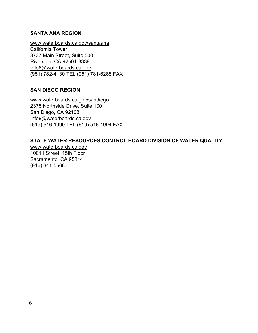#### **SANTA ANA REGION**

[www.waterboards.ca.gov/santaana](http://www.waterboards.ca.gov/santaana) California Tower 3737 Main Street, Suite 500 Riverside, CA 92501-3339 [Info8@waterboards.ca.gov](mailto:Info8@waterboards.ca.gov) (951) 782-4130 TEL (951) 781-6288 FAX

#### **SAN DIEGO REGION**

[www.waterboards.ca.gov/sandiego](http://www.waterboards.ca.gov/sandiego) 2375 Northside Drive, Suite 100 San Diego, CA 92108 [Info9@waterboards.ca.gov](mailto:Info9@waterboards.ca.gov) (619) 516-1990 TEL (619) 516-1994 FAX

### **STATE WATER RESOURCES CONTROL BOARD DIVISION OF WATER QUALITY**

[www.waterboards.ca.gov](http://www.waterboards.ca.gov/) 1001 I Street; 15th Floor Sacramento, CA 95814 (916) 341-5568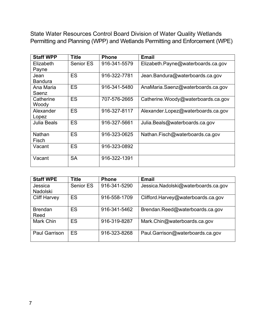<span id="page-6-0"></span>State Water Resources Control Board Division of Water Quality Wetlands Permitting and Planning (WPP) and Wetlands Permitting and Enforcement (WPE)

| <b>Staff WPP</b>       | Title     | <b>Phone</b> | <b>Email</b>                       |
|------------------------|-----------|--------------|------------------------------------|
| Elizabeth<br>Payne     | Senior ES | 916-341-5579 | Elizabeth.Payne@waterboards.ca.gov |
| Jean<br><b>Bandura</b> | ES        | 916-322-7781 | Jean.Bandura@waterboards.ca.gov    |
| Ana Maria<br>Saenz     | <b>ES</b> | 916-341-5480 | AnaMaria.Saenz@waterboards.ca.gov  |
| Catherine<br>Woody     | <b>ES</b> | 707-576-2665 | Catherine.Woody@waterboards.ca.gov |
| Alexander<br>Lopez     | <b>ES</b> | 916-327-8117 | Alexander.Lopez@waterboards.ca.gov |
| <b>Julia Beals</b>     | <b>ES</b> | 916-327-5661 | Julia.Beals@waterboards.ca.gov     |
| Nathan<br>Fisch        | <b>ES</b> | 916-323-0625 | Nathan.Fisch@waterboards.ca.gov    |
| Vacant                 | ES        | 916-323-0892 |                                    |
| Vacant                 | <b>SA</b> | 916-322-1391 |                                    |

| <b>Staff WPE</b>       | <b>Title</b> | <b>Phone</b> | <b>Email</b>                        |
|------------------------|--------------|--------------|-------------------------------------|
| Jessica                | Senior ES    | 916-341-5290 | Jessica.Nadolski@waterboards.ca.gov |
| <b>Nadolski</b>        |              |              |                                     |
| <b>Cliff Harvey</b>    | <b>ES</b>    | 916-558-1709 | Clifford.Harvey@waterboards.ca.gov  |
| <b>Brendan</b><br>Reed | <b>ES</b>    | 916-341-5462 | Brendan.Reed@waterboards.ca.gov     |
| Mark Chin              | <b>ES</b>    | 916-319-8287 | Mark.Chin@waterboards.ca.gov        |
| <b>Paul Garrison</b>   | <b>ES</b>    | 916-323-8268 | Paul.Garrison@waterboards.ca.gov    |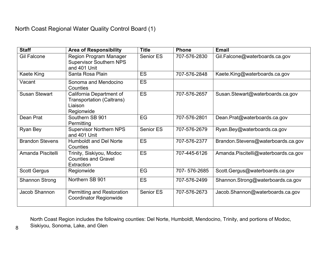<span id="page-7-0"></span>

| <b>Staff</b>           | <b>Area of Responsibility</b>                                                   | <b>Title</b>     | <b>Phone</b> | <b>Email</b>                         |
|------------------------|---------------------------------------------------------------------------------|------------------|--------------|--------------------------------------|
| <b>Gil Falcone</b>     | <b>Region Program Manager</b><br><b>Supervisor Southern NPS</b><br>and 401 Unit | <b>Senior ES</b> | 707-576-2830 | Gil.Falcone@waterboards.ca.gov       |
| Kaete King             | Santa Rosa Plain                                                                | <b>ES</b>        | 707-576-2848 | Kaete.King@waterboards.ca.gov        |
| Vacant                 | Sonoma and Mendocino<br>Counties                                                | <b>ES</b>        |              |                                      |
| <b>Susan Stewart</b>   | California Department of<br>Transportation (Caltrans)<br>Liaison<br>Regionwide  | <b>ES</b>        | 707-576-2657 | Susan.Stewart@waterboards.ca.gov     |
| Dean Prat              | Southern SB 901<br>Permitting                                                   | EG               | 707-576-2801 | Dean.Prat@waterboards.ca.gov         |
| Ryan Bey               | <b>Supervisor Northern NPS</b><br>and 401 Unit                                  | <b>Senior ES</b> | 707-576-2679 | Ryan.Bey@waterboards.ca.gov          |
| <b>Brandon Stevens</b> | <b>Humboldt and Del Norte</b><br>Counties                                       | <b>ES</b>        | 707-576-2377 | Brandon.Stevens@waterboards.ca.gov   |
| Amanda Piscitelli      | Trinity, Siskiyou, Modoc<br><b>Counties and Gravel</b><br>Extraction            | <b>ES</b>        | 707-445-6126 | Amanda.Piscitelli@waterboards.ca.gov |
| <b>Scott Gergus</b>    | Regionwide                                                                      | EG               | 707-576-2685 | Scott.Gergus@waterboards.ca.gov      |
| <b>Shannon Strong</b>  | Northern SB 901                                                                 | <b>ES</b>        | 707-576-2499 | Shannon.Strong@waterboards.ca.gov    |
| Jacob Shannon          | <b>Permitting and Restoration</b><br><b>Coordinator Regionwide</b>              | Senior ES        | 707-576-2673 | Jacob.Shannon@waterboards.ca.gov     |

North Coast Region includes the following counties: Del Norte, Humboldt, Mendocino, Trinity, and portions of Modoc, Siskiyou, Sonoma, Lake, and Glen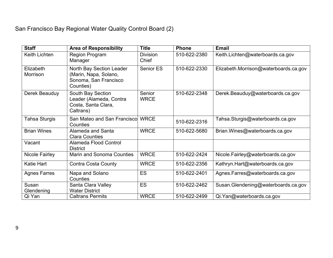# San Francisco Bay Regional Water Quality Control Board (2)

<span id="page-8-0"></span>

| <b>Staff</b>                 | <b>Area of Responsibility</b>                                                           | <b>Title</b>             | <b>Phone</b> | <b>Email</b>                          |
|------------------------------|-----------------------------------------------------------------------------------------|--------------------------|--------------|---------------------------------------|
| <b>Keith Lichten</b>         | <b>Region Program</b><br>Manager                                                        | <b>Division</b><br>Chief | 510-622-2380 | Keith.Lichten@waterboards.ca.gov      |
| Elizabeth<br><b>Morrison</b> | North Bay Section Leader<br>(Marin, Napa, Solano,<br>Sonoma, San Francisco<br>Counties) | Senior ES                | 510-622-2330 | Elizabeth.Morrison@waterboards.ca.gov |
| Derek Beauduy                | South Bay Section<br>Leader (Alameda, Contra<br>Costa, Santa Clara,<br>Caltrans)        | Senior<br><b>WRCE</b>    | 510-622-2348 | Derek.Beauduy@waterboards.ca.gov      |
| <b>Tahsa Sturgis</b>         | San Mateo and San Franciscol<br>Counties                                                | <b>WRCE</b>              | 510-622-2316 | Tahsa Sturgis@waterboards.ca.gov      |
| <b>Brian Wines</b>           | Alameda and Santa<br><b>Clara Counties</b>                                              | <b>WRCE</b>              | 510-622-5680 | Brian.Wines@waterboards.ca.gov        |
| Vacant                       | Alameda Flood Control<br><b>District</b>                                                |                          |              |                                       |
| <b>Nicole Fairley</b>        | <b>Marin and Sonoma Counties</b>                                                        | <b>WRCE</b>              | 510-622-2424 | Nicole.Fairley@waterboards.ca.gov     |
| Katie Hart                   | <b>Contra Costa County</b>                                                              | <b>WRCE</b>              | 510-622-2356 | Kathryn.Hart@waterboards.ca.gov       |
| <b>Agnes Farres</b>          | Napa and Solano<br>Counties                                                             | <b>ES</b>                | 510-622-2401 | Agnes.Farres@waterboards.ca.gov       |
| Susan<br>Glendening          | Santa Clara Valley<br><b>Water District</b>                                             | <b>ES</b>                | 510-622-2462 | Susan.Glendening@waterboards.ca.gov   |
| Qi Yan                       | <b>Caltrans Permits</b>                                                                 | <b>WRCE</b>              | 510-622-2499 | Qi.Yan@waterboards.ca.gov             |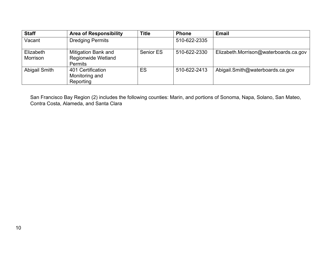| <b>Staff</b>          | <b>Area of Responsibility</b>                                             | <b>Title</b>     | <b>Phone</b> | <b>Email</b>                          |
|-----------------------|---------------------------------------------------------------------------|------------------|--------------|---------------------------------------|
| Vacant                | <b>Dredging Permits</b>                                                   |                  | 510-622-2335 |                                       |
| Elizabeth<br>Morrison | <b>Mitigation Bank and</b><br><b>Regionwide Wetland</b><br><b>Permits</b> | <b>Senior ES</b> | 510-622-2330 | Elizabeth.Morrison@waterboards.ca.gov |
| Abigail Smith         | 401 Certification<br>Monitoring and<br>Reporting                          | ES               | 510-622-2413 | Abigail.Smith@waterboards.ca.gov      |

San Francisco Bay Region (2) includes the following counties: Marin, and portions of Sonoma, Napa, Solano, San Mateo, Contra Costa, Alameda, and Santa Clara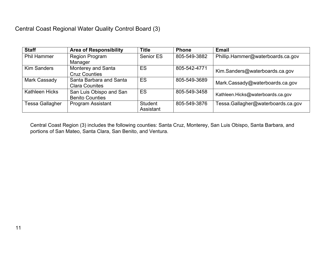| <b>Staff</b>          | <b>Area of Responsibility</b> | <b>Title</b> | <b>Phone</b> | <b>Email</b>                       |
|-----------------------|-------------------------------|--------------|--------------|------------------------------------|
| <b>Phil Hammer</b>    | <b>Region Program</b>         | Senior ES    | 805-549-3882 | Phillip.Hammer@waterboards.ca.gov  |
|                       | Manager                       |              |              |                                    |
| <b>Kim Sanders</b>    | Monterey and Santa            | ES           | 805-542-4771 |                                    |
|                       | <b>Cruz Counties</b>          |              |              | Kim.Sanders@waterboards.ca.gov     |
| Mark Cassady          | Santa Barbara and Santa       | <b>ES</b>    | 805-549-3689 | Mark.Cassady@waterboards.ca.gov    |
|                       | <b>Clara Counites</b>         |              |              |                                    |
| <b>Kathleen Hicks</b> | San Luis Obispo and San       | <b>ES</b>    | 805-549-3458 | Kathleen.Hicks@waterboards.ca.gov  |
|                       | <b>Benito Counties</b>        |              |              |                                    |
| Tessa Gallagher       | <b>Program Assistant</b>      | Student      | 805-549-3876 | Tessa.Gallagher@waterboards.ca.gov |
|                       |                               | Assistant    |              |                                    |

<span id="page-10-0"></span>Central Coast Region (3) includes the following counties: Santa Cruz, Monterey, San Luis Obispo, Santa Barbara, and portions of San Mateo, Santa Clara, San Benito, and Ventura.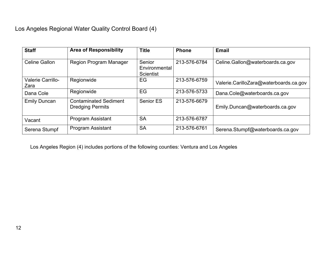| <b>Staff</b>                     | <b>Area of Responsibility</b>                           | <b>Title</b>                         | <b>Phone</b> | <b>Email</b>                           |
|----------------------------------|---------------------------------------------------------|--------------------------------------|--------------|----------------------------------------|
| Celine Gallon                    | <b>Region Program Manager</b>                           | Senior<br>Environmental<br>Scientist | 213-576-6784 | Celine.Gallon@waterboards.ca.gov       |
| <b>Valerie Carrillo-</b><br>Zara | Regionwide                                              | EG                                   | 213-576-6759 | Valerie.CarilloZara@waterboards.ca.gov |
| Dana Cole                        | Regionwide                                              | EG                                   | 213-576-5733 | Dana.Cole@waterboards.ca.gov           |
| <b>Emily Duncan</b>              | <b>Contaminated Sediment</b><br><b>Dredging Permits</b> | Senior ES                            | 213-576-6679 | Emily.Duncan@waterboards.ca.gov        |
| Vacant                           | <b>Program Assistant</b>                                | <b>SA</b>                            | 213-576-6787 |                                        |
| Serena Stumpf                    | <b>Program Assistant</b>                                | <b>SA</b>                            | 213-576-6761 | Serena.Stumpf@waterboards.ca.gov       |

<span id="page-11-0"></span>Los Angeles Region (4) includes portions of the following counties: Ventura and Los Angeles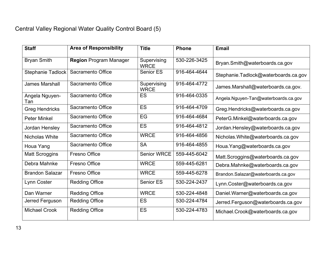# Central Valley Regional Water Quality Control Board (5)

<span id="page-12-0"></span>

| <b>Staff</b>           | <b>Area of Responsibility</b> | <b>Title</b>               | <b>Phone</b> | <b>Email</b>                         |
|------------------------|-------------------------------|----------------------------|--------------|--------------------------------------|
| <b>Bryan Smith</b>     | <b>Region Program Manager</b> | Supervising<br><b>WRCE</b> | 530-226-3425 | Bryan.Smith@waterboards.ca.gov       |
| Stephanie Tadlock      | Sacramento Office             | <b>Senior ES</b>           | 916-464-4644 | Stephanie.Tadlock@waterboards.ca.gov |
| <b>James Marshall</b>  | Sacramento Office             | Supervising<br><b>WRCE</b> | 916-464-4772 | James.Marshall@waterboards.ca.gov.   |
| Angela Nguyen-<br>Tan  | Sacramento Office             | <b>ES</b>                  | 916-464-0335 | Angela.Nguyen-Tan@waterboards.ca.gov |
| <b>Greg Hendricks</b>  | Sacramento Office             | ES                         | 916-464-4709 | Greg.Hendricks@waterboards.ca.gov    |
| <b>Peter Minkel</b>    | Sacramento Office             | EG                         | 916-464-4684 | PeterG.Minkel@waterboards.ca.gov     |
| Jordan Hensley         | Sacramento Office             | <b>ES</b>                  | 916-464-4812 | Jordan.Hensley@waterboards.ca.gov    |
| <b>Nicholas White</b>  | Sacramento Office             | <b>WRCE</b>                | 916-464-4856 | Nicholas. White@waterboards.ca.gov   |
| Houa Yang              | Sacramento Office             | <b>SA</b>                  | 916-464-4855 | Houa.Yang@waterboards.ca.gov         |
| <b>Matt Scroggins</b>  | Fresno Office                 | <b>Senior WRCE</b>         | 559-445-6042 | Matt.Scroggins@waterboards.ca.gov    |
| Debra Mahnke           | Fresno Office                 | <b>WRCE</b>                | 559-445-6281 | Debra.Mahnke@waterboards.ca.gov      |
| <b>Brandon Salazar</b> | <b>Fresno Office</b>          | <b>WRCE</b>                | 559-445-6278 | Brandon.Salazar@waterboards.ca.gov   |
| Lynn Coster            | <b>Redding Office</b>         | <b>Senior ES</b>           | 530-224-2437 | Lynn.Coster@waterboards.ca.gov       |
| Dan Warner             | <b>Redding Office</b>         | <b>WRCE</b>                | 530-224-4848 | Daniel.Warner@waterboards.ca.gov     |
| Jerred Ferguson        | <b>Redding Office</b>         | ES                         | 530-224-4784 | Jerred.Ferguson@waterboards.ca.gov   |
| <b>Michael Crook</b>   | <b>Redding Office</b>         | ES                         | 530-224-4783 | Michael.Crook@waterboards.ca.gov     |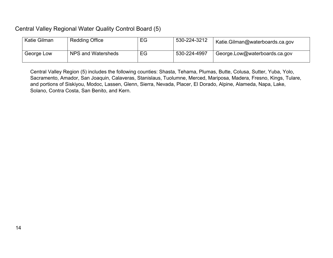## Central Valley Regional Water Quality Control Board (5)

| Katie Gilman | <b>Redding Office</b> | EG | 530-224-3212 | Katie.Gilman@waterboards.ca.gov |
|--------------|-----------------------|----|--------------|---------------------------------|
| George Low   | NPS and Watersheds    | EG | 530-224-4997 | George.Low@waterboards.ca.gov   |

Central Valley Region (5) includes the following counties: Shasta, Tehama, Plumas, Butte, Colusa, Sutter, Yuba, Yolo, Sacramento, Amador, San Joaquin, Calaveras, Stanislaus, Tuolumne, Merced, Mariposa, Madera, Fresno, Kings, Tulare, and portions of Siskiyou, Modoc, Lassen, Glenn, Sierra, Nevada, Placer, El Dorado, Alpine, Alameda, Napa, Lake, Solano, Contra Costa, San Benito, and Kern.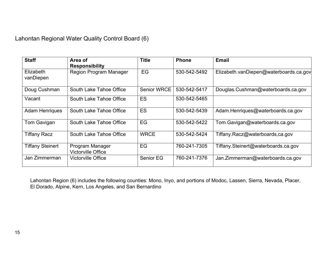Lahontan Regional Water Quality Control Board (6)

| <b>Staff</b>                  | Area of<br><b>Responsibility</b>             | Title              | <b>Phone</b> | <b>Email</b>                           |
|-------------------------------|----------------------------------------------|--------------------|--------------|----------------------------------------|
| <b>Elizabeth</b><br>vanDiepen | <b>Region Program Manager</b>                | EG                 | 530-542-5492 | Elizabeth.vanDiepen@waterboards.ca.gov |
| Doug Cushman                  | South Lake Tahoe Office                      | <b>Senior WRCE</b> | 530-542-5417 | Douglas.Cushman@waterboards.ca.gov     |
| Vacant                        | South Lake Tahoe Office                      | <b>ES</b>          | 530-542-5465 |                                        |
| <b>Adam Henriques</b>         | South Lake Tahoe Office                      | <b>ES</b>          | 530-542-5439 | Adam.Henriques@waterboards.ca.gov      |
| Tom Gavigan                   | South Lake Tahoe Office                      | EG                 | 530-542-5422 | Tom.Gavigan@waterboards.ca.gov         |
| <b>Tiffany Racz</b>           | South Lake Tahoe Office                      | <b>WRCE</b>        | 530-542-5424 | Tiffany.Racz@waterboards,ca.gov        |
| <b>Tiffany Steinert</b>       | Program Manager<br><b>Victorville Office</b> | EG                 | 760-241-7305 | Tiffany.Steinert@waterboards.ca.gov    |
| Jan Zimmerman                 | <b>Victorville Office</b>                    | Senior EG          | 760-241-7376 | Jan.Zimmerman@waterboards.ca.gov       |

<span id="page-14-0"></span>Lahontan Region (6) includes the following counties: Mono, Inyo, and portions of Modoc, Lassen, Sierra, Nevada, Placer, El Dorado, Alpine, Kern, Los Angeles, and San Bernardino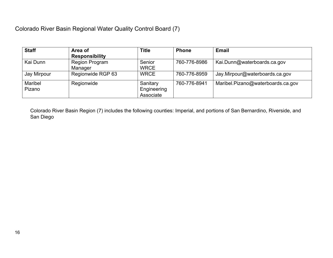## Colorado River Basin Regional Water Quality Control Board (7)

| <b>Staff</b> | Area of               | <b>Title</b> | <b>Phone</b> | <b>Email</b>                      |
|--------------|-----------------------|--------------|--------------|-----------------------------------|
|              | <b>Responsibility</b> |              |              |                                   |
| Kai Dunn     | <b>Region Program</b> | Senior       | 760-776-8986 | Kai.Dunn@waterboards.ca.gov       |
|              | Manager               | <b>WRCE</b>  |              |                                   |
| Jay Mirpour  | Regionwide RGP 63     | <b>WRCE</b>  | 760-776-8959 | Jay.Mirpour@waterboards.ca.gov    |
| Maribel      | Regionwide            | Sanitary     | 760-776-8941 | Maribel.Pizano@waterboards.ca.gov |
| Pizano       |                       | Engineering  |              |                                   |
|              |                       | Associate    |              |                                   |

<span id="page-15-0"></span>Colorado River Basin Region (7) includes the following counties: Imperial, and portions of San Bernardino, Riverside, and San Diego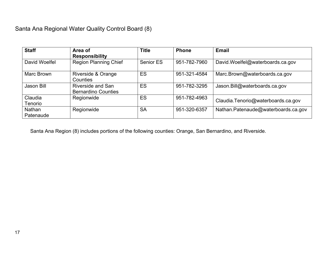| <b>Staff</b>               | Area of<br><b>Responsibility</b>                       | <b>Title</b> | <b>Phone</b> | <b>Email</b>                        |
|----------------------------|--------------------------------------------------------|--------------|--------------|-------------------------------------|
| David Woelfel              | <b>Region Planning Chief</b>                           | Senior ES    | 951-782-7960 | David.Woelfel@waterboards.ca.gov    |
| Marc Brown                 | Riverside & Orange<br>Counties                         | <b>ES</b>    | 951-321-4584 | Marc.Brown@waterboards.ca.gov       |
| Jason Bill                 | <b>Riverside and San</b><br><b>Bernardino Counties</b> | ES           | 951-782-3295 | Jason.Bill@waterboards.ca.gov       |
| Claudia<br>Tenorio         | Regionwide                                             | <b>ES</b>    | 951-782-4963 | Claudia.Tenorio@waterboards.ca.gov  |
| <b>Nathan</b><br>Patenaude | Regionwide                                             | <b>SA</b>    | 951-320-6357 | Nathan.Patenaude@waterboards.ca.gov |

<span id="page-16-0"></span>Santa Ana Region (8) includes portions of the following counties: Orange, San Bernardino, and Riverside.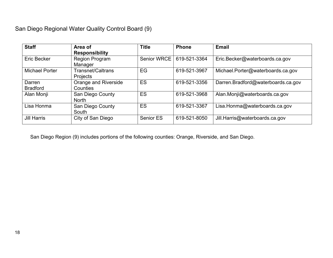## San Diego Regional Water Quality Control Board (9)

| <b>Staff</b>              | Area of<br><b>Responsibility</b>     | <b>Title</b>       | <b>Phone</b> | <b>Email</b>                       |
|---------------------------|--------------------------------------|--------------------|--------------|------------------------------------|
| <b>Eric Becker</b>        | <b>Region Program</b><br>Manager     | <b>Senior WRCE</b> | 619-521-3364 | Eric.Becker@waterboards.ca.gov     |
| <b>Michael Porter</b>     | <b>Transnet/Caltrans</b><br>Projects | EG                 | 619-521-3967 | Michael.Porter@waterboards.ca.gov  |
| Darren<br><b>Bradford</b> | Orange and Riverside<br>Counties     | ES                 | 619-521-3356 | Darren.Bradford@waterboards.ca.gov |
| Alan Monji                | San Diego County<br><b>North</b>     | ES                 | 619-521-3968 | Alan.Monji@waterboards.ca.gov      |
| Lisa Honma                | San Diego County<br>South            | ES                 | 619-521-3367 | Lisa.Honma@waterboards.ca.gov      |
| <b>Jill Harris</b>        | City of San Diego                    | Senior ES          | 619-521-8050 | Jill. Harris@waterboards.ca.gov    |

<span id="page-17-0"></span>San Diego Region (9) includes portions of the following counties: Orange, Riverside, and San Diego.